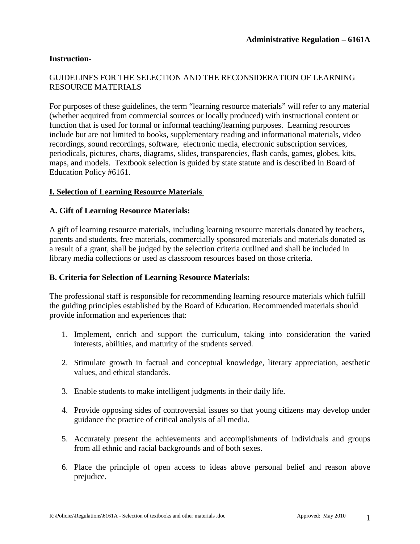### **Instruction-**

## GUIDELINES FOR THE SELECTION AND THE RECONSIDERATION OF LEARNING RESOURCE MATERIALS

For purposes of these guidelines, the term "learning resource materials" will refer to any material (whether acquired from commercial sources or locally produced) with instructional content or function that is used for formal or informal teaching/learning purposes. Learning resources include but are not limited to books, supplementary reading and informational materials, video recordings, sound recordings, software, electronic media, electronic subscription services, periodicals, pictures, charts, diagrams, slides, transparencies, flash cards, games, globes, kits, maps, and models. Textbook selection is guided by state statute and is described in Board of Education Policy #6161.

### **I. Selection of Learning Resource Materials**

#### **A. Gift of Learning Resource Materials:**

A gift of learning resource materials, including learning resource materials donated by teachers, parents and students, free materials, commercially sponsored materials and materials donated as a result of a grant, shall be judged by the selection criteria outlined and shall be included in library media collections or used as classroom resources based on those criteria.

#### **B. Criteria for Selection of Learning Resource Materials:**

The professional staff is responsible for recommending learning resource materials which fulfill the guiding principles established by the Board of Education. Recommended materials should provide information and experiences that:

- 1. Implement, enrich and support the curriculum, taking into consideration the varied interests, abilities, and maturity of the students served.
- 2. Stimulate growth in factual and conceptual knowledge, literary appreciation, aesthetic values, and ethical standards.
- 3. Enable students to make intelligent judgments in their daily life.
- 4. Provide opposing sides of controversial issues so that young citizens may develop under guidance the practice of critical analysis of all media.
- 5. Accurately present the achievements and accomplishments of individuals and groups from all ethnic and racial backgrounds and of both sexes.
- 6. Place the principle of open access to ideas above personal belief and reason above prejudice.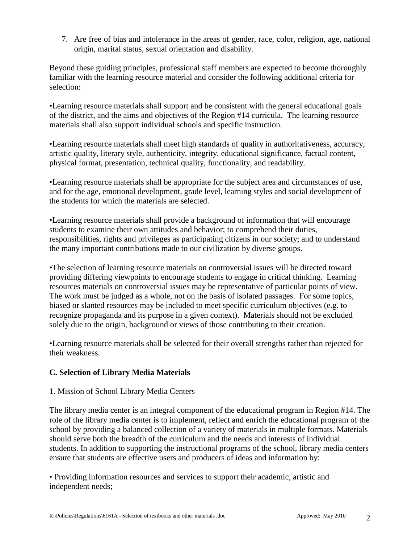7. Are free of bias and intolerance in the areas of gender, race, color, religion, age, national origin, marital status, sexual orientation and disability.

Beyond these guiding principles, professional staff members are expected to become thoroughly familiar with the learning resource material and consider the following additional criteria for selection:

•Learning resource materials shall support and be consistent with the general educational goals of the district, and the aims and objectives of the Region #14 curricula. The learning resource materials shall also support individual schools and specific instruction.

•Learning resource materials shall meet high standards of quality in authoritativeness, accuracy, artistic quality, literary style, authenticity, integrity, educational significance, factual content, physical format, presentation, technical quality, functionality, and readability.

•Learning resource materials shall be appropriate for the subject area and circumstances of use, and for the age, emotional development, grade level, learning styles and social development of the students for which the materials are selected.

•Learning resource materials shall provide a background of information that will encourage students to examine their own attitudes and behavior; to comprehend their duties, responsibilities, rights and privileges as participating citizens in our society; and to understand the many important contributions made to our civilization by diverse groups.

•The selection of learning resource materials on controversial issues will be directed toward providing differing viewpoints to encourage students to engage in critical thinking. Learning resources materials on controversial issues may be representative of particular points of view. The work must be judged as a whole, not on the basis of isolated passages. For some topics, biased or slanted resources may be included to meet specific curriculum objectives (e.g. to recognize propaganda and its purpose in a given context). Materials should not be excluded solely due to the origin, background or views of those contributing to their creation.

•Learning resource materials shall be selected for their overall strengths rather than rejected for their weakness.

# **C. Selection of Library Media Materials**

# 1. Mission of School Library Media Centers

The library media center is an integral component of the educational program in Region #14. The role of the library media center is to implement, reflect and enrich the educational program of the school by providing a balanced collection of a variety of materials in multiple formats. Materials should serve both the breadth of the curriculum and the needs and interests of individual students. In addition to supporting the instructional programs of the school, library media centers ensure that students are effective users and producers of ideas and information by:

• Providing information resources and services to support their academic, artistic and independent needs;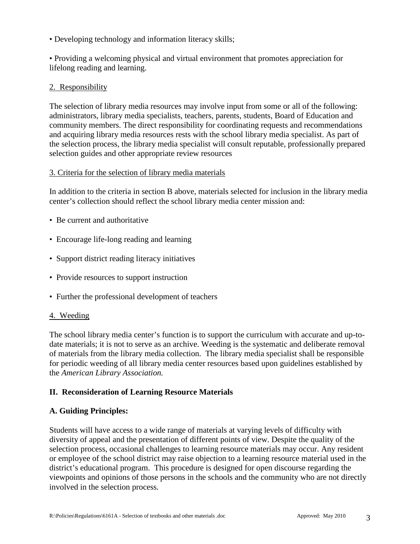• Developing technology and information literacy skills;

• Providing a welcoming physical and virtual environment that promotes appreciation for lifelong reading and learning.

## 2. Responsibility

The selection of library media resources may involve input from some or all of the following: administrators, library media specialists, teachers, parents, students, Board of Education and community members. The direct responsibility for coordinating requests and recommendations and acquiring library media resources rests with the school library media specialist. As part of the selection process, the library media specialist will consult reputable, professionally prepared selection guides and other appropriate review resources

### 3. Criteria for the selection of library media materials

In addition to the criteria in section B above, materials selected for inclusion in the library media center's collection should reflect the school library media center mission and:

- Be current and authoritative
- Encourage life-long reading and learning
- Support district reading literacy initiatives
- Provide resources to support instruction
- Further the professional development of teachers

### 4. Weeding

The school library media center's function is to support the curriculum with accurate and up-todate materials; it is not to serve as an archive. Weeding is the systematic and deliberate removal of materials from the library media collection. The library media specialist shall be responsible for periodic weeding of all library media center resources based upon guidelines established by the *American Library Association.*

### **II. Reconsideration of Learning Resource Materials**

### **A. Guiding Principles:**

Students will have access to a wide range of materials at varying levels of difficulty with diversity of appeal and the presentation of different points of view. Despite the quality of the selection process, occasional challenges to learning resource materials may occur. Any resident or employee of the school district may raise objection to a learning resource material used in the district's educational program. This procedure is designed for open discourse regarding the viewpoints and opinions of those persons in the schools and the community who are not directly involved in the selection process.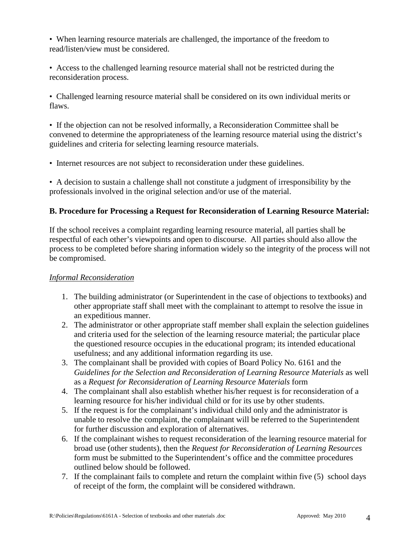• When learning resource materials are challenged, the importance of the freedom to read/listen/view must be considered.

• Access to the challenged learning resource material shall not be restricted during the reconsideration process.

• Challenged learning resource material shall be considered on its own individual merits or flaws.

• If the objection can not be resolved informally, a Reconsideration Committee shall be convened to determine the appropriateness of the learning resource material using the district's guidelines and criteria for selecting learning resource materials.

• Internet resources are not subject to reconsideration under these guidelines.

• A decision to sustain a challenge shall not constitute a judgment of irresponsibility by the professionals involved in the original selection and/or use of the material.

# **B. Procedure for Processing a Request for Reconsideration of Learning Resource Material:**

If the school receives a complaint regarding learning resource material, all parties shall be respectful of each other's viewpoints and open to discourse. All parties should also allow the process to be completed before sharing information widely so the integrity of the process will not be compromised.

# *Informal Reconsideration*

- 1. The building administrator (or Superintendent in the case of objections to textbooks) and other appropriate staff shall meet with the complainant to attempt to resolve the issue in an expeditious manner.
- 2. The administrator or other appropriate staff member shall explain the selection guidelines and criteria used for the selection of the learning resource material; the particular place the questioned resource occupies in the educational program; its intended educational usefulness; and any additional information regarding its use.
- 3. The complainant shall be provided with copies of Board Policy No. 6161 and the *Guidelines for the Selection and Reconsideration of Learning Resource Materials* as well as a *Request for Reconsideration of Learning Resource Materials* form
- 4. The complainant shall also establish whether his/her request is for reconsideration of a learning resource for his/her individual child or for its use by other students.
- 5. If the request is for the complainant's individual child only and the administrator is unable to resolve the complaint, the complainant will be referred to the Superintendent for further discussion and exploration of alternatives.
- 6. If the complainant wishes to request reconsideration of the learning resource material for broad use (other students), then the *Request for Reconsideration of Learning Resources* form must be submitted to the Superintendent's office and the committee procedures outlined below should be followed.
- 7. If the complainant fails to complete and return the complaint within five (5) school days of receipt of the form, the complaint will be considered withdrawn.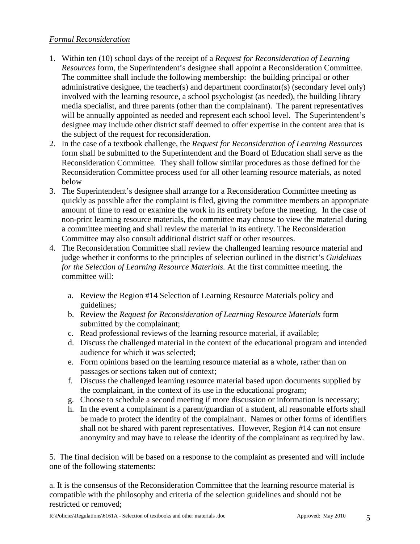## *Formal Reconsideration*

- 1. Within ten (10) school days of the receipt of a *Request for Reconsideration of Learning Resources* form, the Superintendent's designee shall appoint a Reconsideration Committee. The committee shall include the following membership: the building principal or other administrative designee, the teacher(s) and department coordinator(s) (secondary level only) involved with the learning resource, a school psychologist (as needed), the building library media specialist, and three parents (other than the complainant). The parent representatives will be annually appointed as needed and represent each school level. The Superintendent's designee may include other district staff deemed to offer expertise in the content area that is the subject of the request for reconsideration.
- 2. In the case of a textbook challenge, the *Request for Reconsideration of Learning Resources* form shall be submitted to the Superintendent and the Board of Education shall serve as the Reconsideration Committee. They shall follow similar procedures as those defined for the Reconsideration Committee process used for all other learning resource materials, as noted below
- 3. The Superintendent's designee shall arrange for a Reconsideration Committee meeting as quickly as possible after the complaint is filed, giving the committee members an appropriate amount of time to read or examine the work in its entirety before the meeting. In the case of non-print learning resource materials, the committee may choose to view the material during a committee meeting and shall review the material in its entirety. The Reconsideration Committee may also consult additional district staff or other resources.
- 4. The Reconsideration Committee shall review the challenged learning resource material and judge whether it conforms to the principles of selection outlined in the district's *Guidelines for the Selection of Learning Resource Materials*. At the first committee meeting, the committee will:
	- a. Review the Region #14 Selection of Learning Resource Materials policy and guidelines;
	- b. Review the *Request for Reconsideration of Learning Resource Materials* form submitted by the complainant;
	- c. Read professional reviews of the learning resource material, if available;
	- d. Discuss the challenged material in the context of the educational program and intended audience for which it was selected;
	- e. Form opinions based on the learning resource material as a whole, rather than on passages or sections taken out of context;
	- f. Discuss the challenged learning resource material based upon documents supplied by the complainant, in the context of its use in the educational program;
	- g. Choose to schedule a second meeting if more discussion or information is necessary;
	- h. In the event a complainant is a parent/guardian of a student, all reasonable efforts shall be made to protect the identity of the complainant. Names or other forms of identifiers shall not be shared with parent representatives. However, Region #14 can not ensure anonymity and may have to release the identity of the complainant as required by law.

5. The final decision will be based on a response to the complaint as presented and will include one of the following statements:

a. It is the consensus of the Reconsideration Committee that the learning resource material is compatible with the philosophy and criteria of the selection guidelines and should not be restricted or removed;